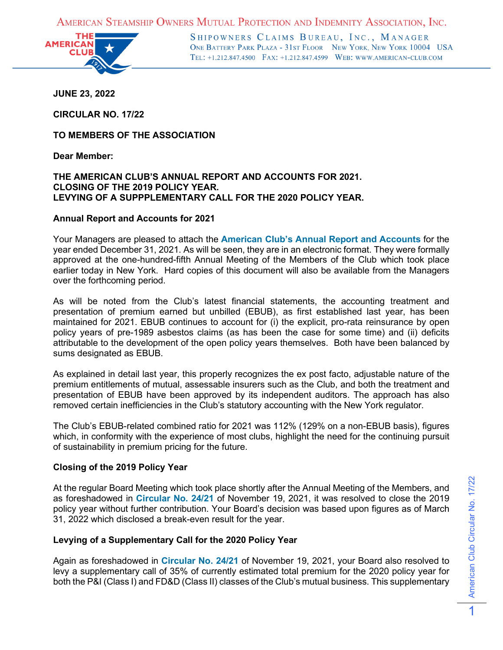AMERICAN STEAMSHIP OWNERS MUTUAL PROTECTION AND INDEMNITY ASSOCIATION, INC.



SHIPOWNERS CLAIMS BUREAU, INC., MANAGER ONE BATTERY PARK PLAZA - 31ST FLOOR NEW YORK, NEW YORK 10004 USA TEL: +1.212.847.4500 FAX: +1.212.847.4599 WEB: WWW.AMERICAN-CLUB.COM

**JUNE 23, 2022**

**CIRCULAR NO. 17/22**

**TO MEMBERS OF THE ASSOCIATION**

**Dear Member:**

## **THE AMERICAN CLUB'S ANNUAL REPORT AND ACCOUNTS FOR 2021. CLOSING OF THE 2019 POLICY YEAR. LEVYING OF A SUPPPLEMENTARY CALL FOR THE 2020 POLICY YEAR.**

## **Annual Report and Accounts for 2021**

Your Managers are pleased to attach the **[American Club's Annual Report and Accounts](https://www.american-club.com/files/files/2021_Annual_Report.pdf)** for the year ended December 31, 2021. As will be seen, they are in an electronic format. They were formally approved at the one-hundred-fifth Annual Meeting of the Members of the Club which took place earlier today in New York. Hard copies of this document will also be available from the Managers over the forthcoming period.

As will be noted from the Club's latest financial statements, the accounting treatment and presentation of premium earned but unbilled (EBUB), as first established last year, has been maintained for 2021. EBUB continues to account for (i) the explicit, pro-rata reinsurance by open policy years of pre-1989 asbestos claims (as has been the case for some time) and (ii) deficits attributable to the development of the open policy years themselves. Both have been balanced by sums designated as EBUB.

As explained in detail last year, this properly recognizes the ex post facto, adjustable nature of the premium entitlements of mutual, assessable insurers such as the Club, and both the treatment and presentation of EBUB have been approved by its independent auditors. The approach has also removed certain inefficiencies in the Club's statutory accounting with the New York regulator.

The Club's EBUB-related combined ratio for 2021 was 112% (129% on a non-EBUB basis), figures which, in conformity with the experience of most clubs, highlight the need for the continuing pursuit of sustainability in premium pricing for the future.

## **Closing of the 2019 Policy Year**

At the regular Board Meeting which took place shortly after the Annual Meeting of the Members, and as foreshadowed in **[Circular No. 24/21](https://www.american-club.com/files/files/cir_24_21.pdf)** of November 19, 2021, it was resolved to close the 2019 policy year without further contribution. Your Board's decision was based upon figures as of March 31, 2022 which disclosed a break-even result for the year.

## **Levying of a Supplementary Call for the 2020 Policy Year**

Again as foreshadowed in **[Circular No. 24/21](https://www.american-club.com/files/files/cir_24_21.pdf)** of November 19, 2021, your Board also resolved to levy a supplementary call of 35% of currently estimated total premium for the 2020 policy year for both the P&I (Class I) and FD&D (Class II) classes of the Club's mutual business. This supplementary